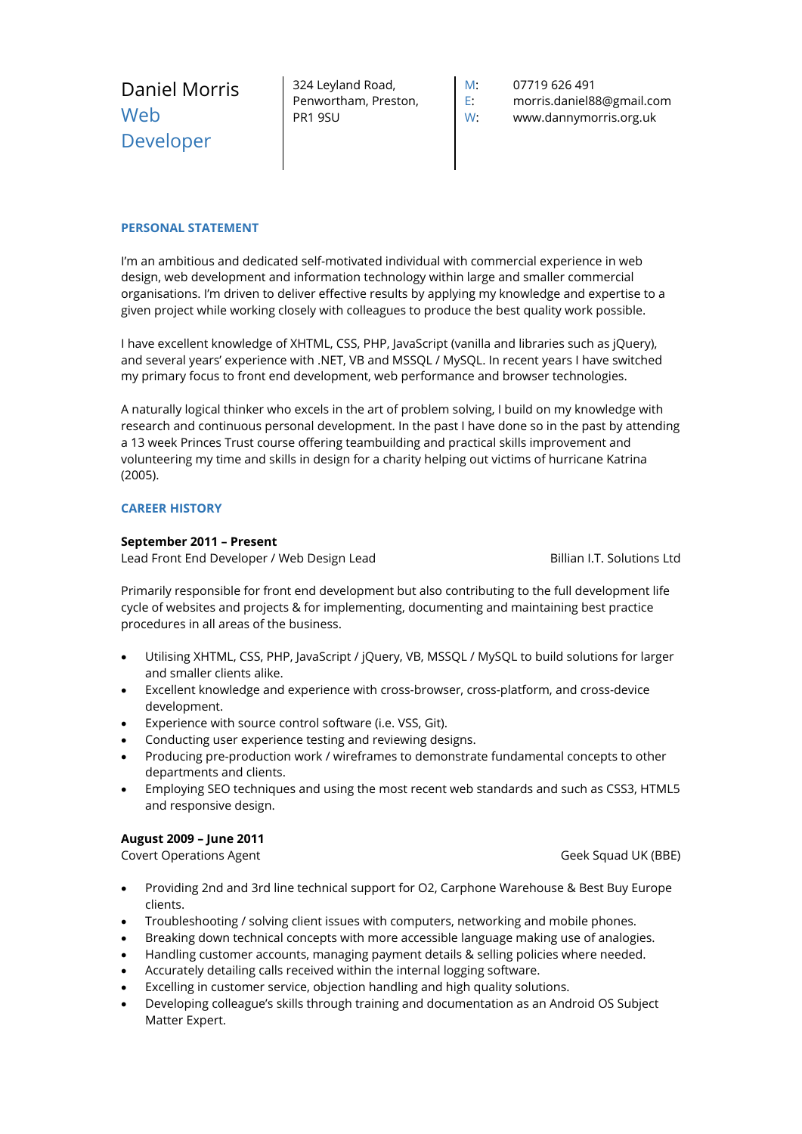| Daniel Morris | 324 Leyland Road,    | M: | 07719 626 491             |
|---------------|----------------------|----|---------------------------|
| Web           | Penwortham, Preston, | E. | morris.daniel88@gmail.com |
| Developer     | PR1 9SU              | W. | www.dannymorris.org.uk    |

# **PERSONAL STATEMENT**

I'm an ambitious and dedicated self-motivated individual with commercial experience in web design, web development and information technology within large and smaller commercial organisations. I'm driven to deliver effective results by applying my knowledge and expertise to a given project while working closely with colleagues to produce the best quality work possible.

I have excellent knowledge of XHTML, CSS, PHP, JavaScript (vanilla and libraries such as jQuery), and several years' experience with .NET, VB and MSSQL / MySQL. In recent years I have switched my primary focus to front end development, web performance and browser technologies.

A naturally logical thinker who excels in the art of problem solving, I build on my knowledge with research and continuous personal development. In the past I have done so in the past by attending a 13 week Princes Trust course offering teambuilding and practical skills improvement and volunteering my time and skills in design for a charity helping out victims of hurricane Katrina (2005).

# **CAREER HISTORY**

### **September 2011 – Present**

Lead Front End Developer / Web Design Lead Billian I.T. Solutions Ltd

Primarily responsible for front end development but also contributing to the full development life cycle of websites and projects & for implementing, documenting and maintaining best practice procedures in all areas of the business.

- Utilising XHTML, CSS, PHP, JavaScript / jQuery, VB, MSSQL / MySQL to build solutions for larger and smaller clients alike.
- Excellent knowledge and experience with cross-browser, cross-platform, and cross-device development.
- Experience with source control software (i.e. VSS, Git).
- Conducting user experience testing and reviewing designs.
- Producing pre-production work / wireframes to demonstrate fundamental concepts to other departments and clients.
- Employing SEO techniques and using the most recent web standards and such as CSS3, HTML5 and responsive design.

#### **August 2009 – June 2011**

Covert Operations Agent Geek Squad UK (BBE)

- Providing 2nd and 3rd line technical support for O2, Carphone Warehouse & Best Buy Europe clients.
- Troubleshooting / solving client issues with computers, networking and mobile phones.
- Breaking down technical concepts with more accessible language making use of analogies.
- Handling customer accounts, managing payment details & selling policies where needed.
- Accurately detailing calls received within the internal logging software.
- Excelling in customer service, objection handling and high quality solutions.
- Developing colleague's skills through training and documentation as an Android OS Subject Matter Expert.